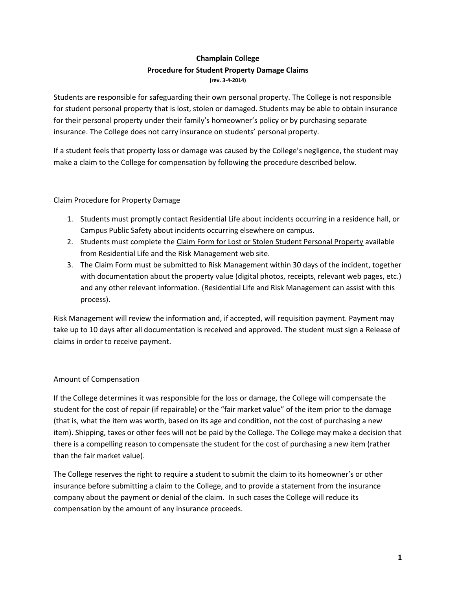### **Champlain College Procedure for Student Property Damage Claims (rev. 3-4-2014)**

Students are responsible for safeguarding their own personal property. The College is not responsible for student personal property that is lost, stolen or damaged. Students may be able to obtain insurance for their personal property under their family's homeowner's policy or by purchasing separate insurance. The College does not carry insurance on students' personal property.

If a student feels that property loss or damage was caused by the College's negligence, the student may make a claim to the College for compensation by following the procedure described below.

## Claim Procedure for Property Damage

- 1. Students must promptly contact Residential Life about incidents occurring in a residence hall, or Campus Public Safety about incidents occurring elsewhere on campus.
- 2. Students must complete the Claim Form for Lost or Stolen Student Personal Property available from Residential Life and the Risk Management web site.
- 3. The Claim Form must be submitted to Risk Management within 30 days of the incident, together with documentation about the property value (digital photos, receipts, relevant web pages, etc.) and any other relevant information. (Residential Life and Risk Management can assist with this process).

Risk Management will review the information and, if accepted, will requisition payment. Payment may take up to 10 days after all documentation is received and approved. The student must sign a Release of claims in order to receive payment.

# Amount of Compensation

If the College determines it was responsible for the loss or damage, the College will compensate the student for the cost of repair (if repairable) or the "fair market value" of the item prior to the damage (that is, what the item was worth, based on its age and condition, not the cost of purchasing a new item). Shipping, taxes or other fees will not be paid by the College. The College may make a decision that there is a compelling reason to compensate the student for the cost of purchasing a new item (rather than the fair market value).

The College reserves the right to require a student to submit the claim to its homeowner's or other insurance before submitting a claim to the College, and to provide a statement from the insurance company about the payment or denial of the claim. In such cases the College will reduce its compensation by the amount of any insurance proceeds.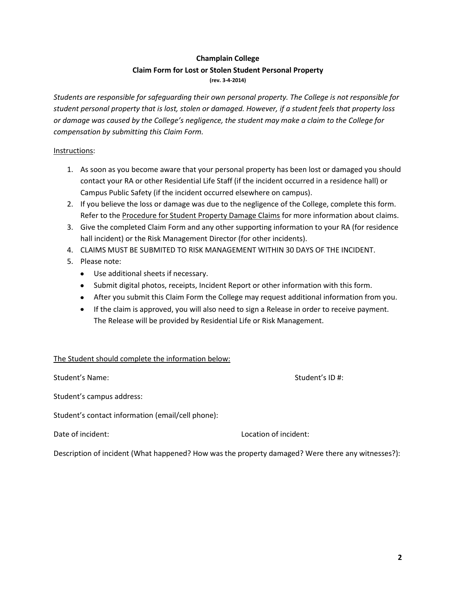## **Champlain College Claim Form for Lost or Stolen Student Personal Property (rev. 3-4-2014)**

*Students are responsible for safeguarding their own personal property. The College is not responsible for student personal property that is lost, stolen or damaged. However, if a student feels that property loss or damage was caused by the College's negligence, the student may make a claim to the College for compensation by submitting this Claim Form.* 

#### Instructions:

- 1. As soon as you become aware that your personal property has been lost or damaged you should contact your RA or other Residential Life Staff (if the incident occurred in a residence hall) or Campus Public Safety (if the incident occurred elsewhere on campus).
- 2. If you believe the loss or damage was due to the negligence of the College, complete this form. Refer to the Procedure for Student Property Damage Claims for more information about claims.
- 3. Give the completed Claim Form and any other supporting information to your RA (for residence hall incident) or the Risk Management Director (for other incidents).
- 4. CLAIMS MUST BE SUBMITED TO RISK MANAGEMENT WITHIN 30 DAYS OF THE INCIDENT.
- 5. Please note:
	- Use additional sheets if necessary.
	- Submit digital photos, receipts, Incident Report or other information with this form.
	- After you submit this Claim Form the College may request additional information from you.
	- If the claim is approved, you will also need to sign a Release in order to receive payment. The Release will be provided by Residential Life or Risk Management.

### The Student should complete the information below:

Student's Name: Student's ID #:

Student's campus address:

Student's contact information (email/cell phone):

Date of incident: Location of incident:

Description of incident (What happened? How was the property damaged? Were there any witnesses?):